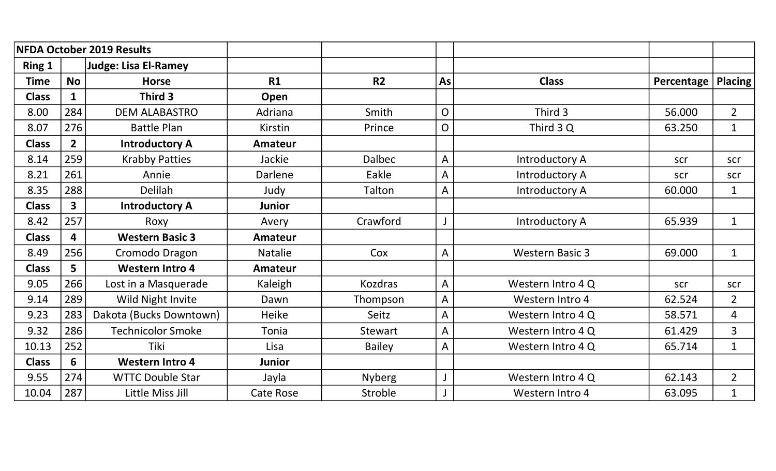|              |                | <b>NFDA October 2019 Results</b> |                  |               |                |                        |            |                |
|--------------|----------------|----------------------------------|------------------|---------------|----------------|------------------------|------------|----------------|
| Ring 1       |                | Judge: Lisa El-Ramey             |                  |               |                |                        |            |                |
| <b>Time</b>  | <b>No</b>      | <b>Horse</b>                     | R1               | <b>R2</b>     | As             | <b>Class</b>           | Percentage | <b>Placing</b> |
| <b>Class</b> | $\mathbf 1$    | Third 3                          | Open             |               |                |                        |            |                |
| 8.00         | 284            | <b>DEM ALABASTRO</b>             | Adriana          | Smith         | $\overline{O}$ | Third 3                | 56.000     | $\overline{2}$ |
| 8.07         | 276            | <b>Battle Plan</b>               | Kirstin          | Prince        | $\overline{O}$ | Third 3 Q              | 63.250     | $\mathbf{1}$   |
| <b>Class</b> | 2 <sup>1</sup> | <b>Introductory A</b>            | <b>Amateur</b>   |               |                |                        |            |                |
| 8.14         | 259            | <b>Krabby Patties</b>            | Jackie           | <b>Dalbec</b> | $\overline{A}$ | Introductory A         | scr        | scr            |
| 8.21         | 261            | Annie                            | Darlene          | Eakle         | A              | Introductory A         | scr        | scr            |
| 8.35         | 288            | <b>Delilah</b>                   | Judy             | Talton        | A              | Introductory A         | 60.000     | $\mathbf{1}$   |
| <b>Class</b> | 3              | <b>Introductory A</b>            | <b>Junior</b>    |               |                |                        |            |                |
| 8.42         | 257            | Roxy                             | Avery            | Crawford      |                | Introductory A         | 65.939     | $\mathbf{1}$   |
| <b>Class</b> | 4              | <b>Western Basic 3</b>           | <b>Amateur</b>   |               |                |                        |            |                |
| 8.49         | 256            | Cromodo Dragon                   | <b>Natalie</b>   | Cox           | $\mathsf{A}$   | <b>Western Basic 3</b> | 69.000     | $\mathbf{1}$   |
| <b>Class</b> | 5              | <b>Western Intro 4</b>           | <b>Amateur</b>   |               |                |                        |            |                |
| 9.05         | 266            | Lost in a Masquerade             | Kaleigh          | Kozdras       | $\overline{A}$ | Western Intro 4 Q      | scr        | scr            |
| 9.14         | 289            | Wild Night Invite                | Dawn             | Thompson      | $\overline{A}$ | Western Intro 4        | 62.524     | $\overline{2}$ |
| 9.23         | 283            | Dakota (Bucks Downtown)          | <b>Heike</b>     | <b>Seitz</b>  | A              | Western Intro 4 Q      | 58.571     | 4              |
| 9.32         | 286            | <b>Technicolor Smoke</b>         | Tonia            | Stewart       | $\overline{A}$ | Western Intro 4 Q      | 61.429     | 3              |
| 10.13        | 252            | Tiki                             | Lisa             | <b>Bailey</b> | $\overline{A}$ | Western Intro 4 Q      | 65.714     | $\mathbf{1}$   |
| <b>Class</b> | 6              | <b>Western Intro 4</b>           | <b>Junior</b>    |               |                |                        |            |                |
| 9.55         | 274            | <b>WTTC Double Star</b>          | Jayla            | <b>Nyberg</b> |                | Western Intro 4 Q      | 62.143     | $\overline{2}$ |
| 10.04        | 287            | Little Miss Jill                 | <b>Cate Rose</b> | Stroble       |                | Western Intro 4        | 63.095     | $\mathbf{1}$   |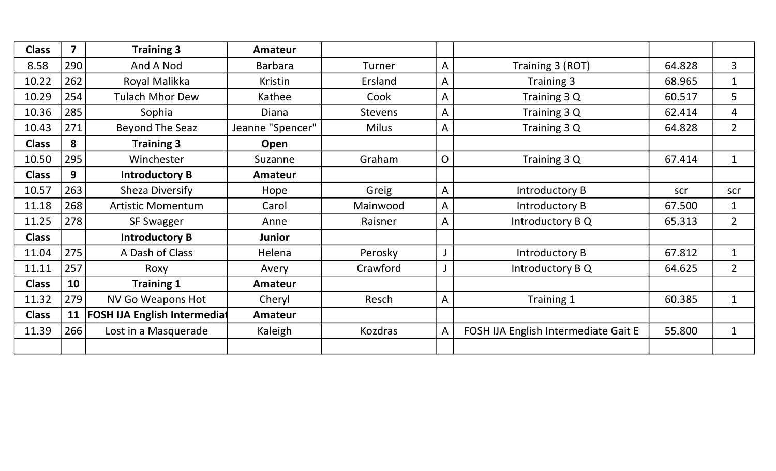| <b>Class</b> | $\overline{7}$ | <b>Training 3</b>                   | <b>Amateur</b>   |              |                         |                                      |        |                |
|--------------|----------------|-------------------------------------|------------------|--------------|-------------------------|--------------------------------------|--------|----------------|
| 8.58         | 290            | And A Nod                           | <b>Barbara</b>   | Turner       | $\mathsf{A}$            | Training 3 (ROT)                     | 64.828 | 3              |
| 10.22        | 262            | Royal Malikka                       | Kristin          | Ersland      | A                       | Training 3                           | 68.965 | $\mathbf{1}$   |
| 10.29        | 254            | <b>Tulach Mhor Dew</b>              | Kathee           | Cook         | A                       | Training 3 Q                         | 60.517 | 5              |
| 10.36        | 285            | Sophia                              | Diana            | Stevens      | A                       | Training 3 Q                         | 62.414 | $\overline{4}$ |
| 10.43        | 271            | Beyond The Seaz                     | Jeanne "Spencer" | <b>Milus</b> | A                       | Training 3 Q                         | 64.828 | $\overline{2}$ |
| <b>Class</b> | 8              | <b>Training 3</b>                   | Open             |              |                         |                                      |        |                |
| 10.50        | 295            | Winchester                          | Suzanne          | Graham       | $\overline{O}$          | Training 3 Q                         | 67.414 | $\mathbf{1}$   |
| <b>Class</b> | 9              | <b>Introductory B</b>               | <b>Amateur</b>   |              |                         |                                      |        |                |
| 10.57        | 263            | <b>Sheza Diversify</b>              | Hope             | Greig        | $\mathsf{A}$            | Introductory B                       | scr    | scr            |
| 11.18        | 268            | <b>Artistic Momentum</b>            | Carol            | Mainwood     | A                       | Introductory B                       | 67.500 | $\mathbf{1}$   |
| 11.25        | 278            | <b>SF Swagger</b>                   | Anne             | Raisner      | A                       | Introductory B Q                     | 65.313 | $\overline{2}$ |
| <b>Class</b> |                | <b>Introductory B</b>               | <b>Junior</b>    |              |                         |                                      |        |                |
| 11.04        | 275            | A Dash of Class                     | Helena           | Perosky      |                         | Introductory B                       | 67.812 | $\mathbf{1}$   |
| 11.11        | 257            | Roxy                                | Avery            | Crawford     | $\overline{\mathsf{J}}$ | Introductory B Q                     | 64.625 | $\overline{2}$ |
| <b>Class</b> | 10             | <b>Training 1</b>                   | <b>Amateur</b>   |              |                         |                                      |        |                |
| 11.32        | 279            | <b>NV Go Weapons Hot</b>            | Cheryl           | Resch        | A                       | Training 1                           | 60.385 | $\mathbf{1}$   |
| <b>Class</b> | 11             | <b>FOSH IJA English Intermediat</b> | <b>Amateur</b>   |              |                         |                                      |        |                |
| 11.39        | 266            | Lost in a Masquerade                | Kaleigh          | Kozdras      | A                       | FOSH IJA English Intermediate Gait E | 55.800 | $\mathbf 1$    |
|              |                |                                     |                  |              |                         |                                      |        |                |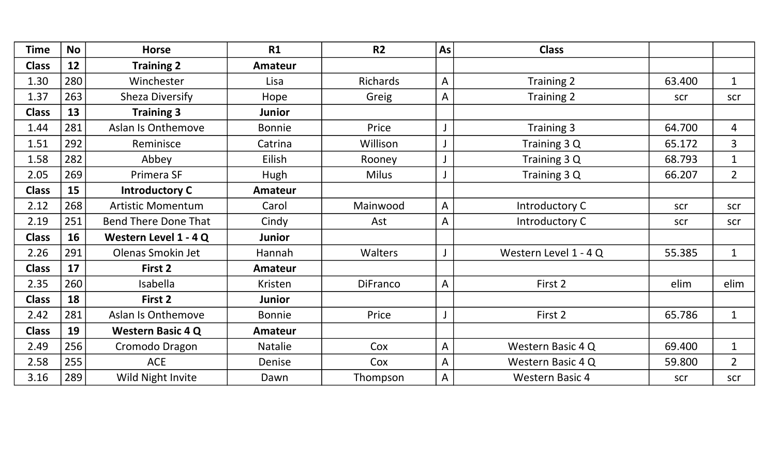| <b>Time</b>  | <b>No</b> | <b>Horse</b>                | <b>R1</b>      | R <sub>2</sub>  | As             | <b>Class</b>           |        |                |
|--------------|-----------|-----------------------------|----------------|-----------------|----------------|------------------------|--------|----------------|
| <b>Class</b> | 12        | <b>Training 2</b>           | <b>Amateur</b> |                 |                |                        |        |                |
| 1.30         | 280       | Winchester                  | Lisa           | Richards        | $\mathsf{A}$   | Training 2             | 63.400 | $\mathbf{1}$   |
| 1.37         | 263       | Sheza Diversify             | Hope           | Greig           | $\mathsf{A}$   | Training 2             | scr    | scr            |
| <b>Class</b> | 13        | <b>Training 3</b>           | <b>Junior</b>  |                 |                |                        |        |                |
| 1.44         | 281       | <b>Aslan Is Onthemove</b>   | <b>Bonnie</b>  | Price           | $\mathsf{J}$   | Training 3             | 64.700 | 4              |
| 1.51         | 292       | Reminisce                   | Catrina        | Willison        | $\mathsf J$    | Training 3 Q           | 65.172 | $\overline{3}$ |
| 1.58         | 282       | Abbey                       | Eilish         | Rooney          | $\bigcup$      | Training 3 Q           | 68.793 | $\mathbf{1}$   |
| 2.05         | 269       | Primera SF                  | Hugh           | <b>Milus</b>    | J              | Training 3 Q           | 66.207 | $\overline{2}$ |
| <b>Class</b> | 15        | <b>Introductory C</b>       | <b>Amateur</b> |                 |                |                        |        |                |
| 2.12         | 268       | <b>Artistic Momentum</b>    | Carol          | Mainwood        | $\overline{A}$ | Introductory C         | scr    | scr            |
| 2.19         | 251       | <b>Bend There Done That</b> | Cindy          | Ast             | $\overline{A}$ | Introductory C         | scr    | scr            |
| <b>Class</b> | 16        | Western Level 1 - 4 Q       | <b>Junior</b>  |                 |                |                        |        |                |
| 2.26         | 291       | Olenas Smokin Jet           | Hannah         | <b>Walters</b>  | $\mathsf{J}$   | Western Level 1 - 4 Q  | 55.385 | $\mathbf{1}$   |
| <b>Class</b> | 17        | First 2                     | <b>Amateur</b> |                 |                |                        |        |                |
| 2.35         | 260       | Isabella                    | Kristen        | <b>DiFranco</b> | $\overline{A}$ | First 2                | elim   | elim           |
| <b>Class</b> | 18        | First 2                     | <b>Junior</b>  |                 |                |                        |        |                |
| 2.42         | 281       | Aslan Is Onthemove          | <b>Bonnie</b>  | Price           | J              | First 2                | 65.786 | $\mathbf{1}$   |
| <b>Class</b> | 19        | <b>Western Basic 4 Q</b>    | <b>Amateur</b> |                 |                |                        |        |                |
| 2.49         | 256       | Cromodo Dragon              | <b>Natalie</b> | Cox             | $\overline{A}$ | Western Basic 4 Q      | 69.400 | $\mathbf{1}$   |
| 2.58         | 255       | <b>ACE</b>                  | Denise         | Cox             | $\overline{A}$ | Western Basic 4 Q      | 59.800 | $\overline{2}$ |
| 3.16         | 289       | Wild Night Invite           | Dawn           | Thompson        | $\overline{A}$ | <b>Western Basic 4</b> | scr    | scr            |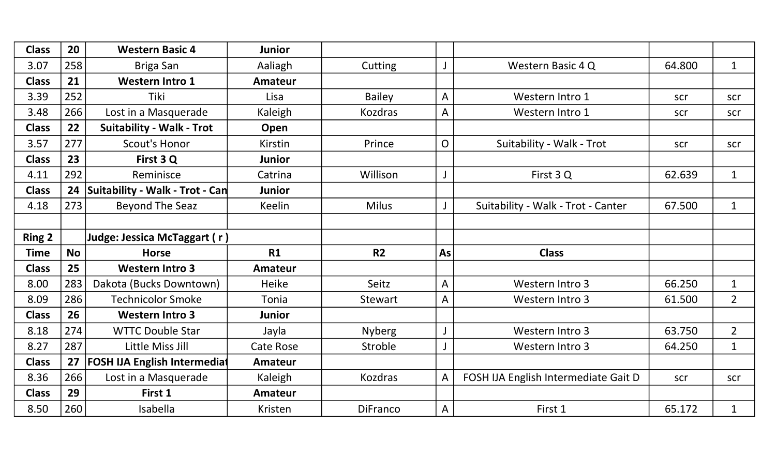| <b>Class</b>  | 20        | <b>Western Basic 4</b>              | <b>Junior</b>    |                |                |                                      |        |                |
|---------------|-----------|-------------------------------------|------------------|----------------|----------------|--------------------------------------|--------|----------------|
| 3.07          | 258       | Briga San                           | Aaliagh          | Cutting        | $\mathsf{J}$   | Western Basic 4 Q                    | 64.800 | $\mathbf{1}$   |
| <b>Class</b>  | 21        | <b>Western Intro 1</b>              | Amateur          |                |                |                                      |        |                |
| 3.39          | 252       | <b>Tiki</b>                         | Lisa             | <b>Bailey</b>  | A              | Western Intro 1                      | scr    | scr            |
| 3.48          | 266       | Lost in a Masquerade                | Kaleigh          | <b>Kozdras</b> | $\mathsf{A}$   | Western Intro 1                      | scr    | scr            |
| <b>Class</b>  | 22        | <b>Suitability - Walk - Trot</b>    | Open             |                |                |                                      |        |                |
| 3.57          | 277       | <b>Scout's Honor</b>                | Kirstin          | Prince         | $\mathsf{O}$   | Suitability - Walk - Trot            | scr    | scr            |
| <b>Class</b>  | 23        | First 3 Q                           | <b>Junior</b>    |                |                |                                      |        |                |
| 4.11          | 292       | Reminisce                           | Catrina          | Willison       | J              | First 3Q                             | 62.639 | $\mathbf{1}$   |
| <b>Class</b>  | 24        | Suitability - Walk - Trot - Can     | <b>Junior</b>    |                |                |                                      |        |                |
| 4.18          | 273       | <b>Beyond The Seaz</b>              | <b>Keelin</b>    | <b>Milus</b>   |                | Suitability - Walk - Trot - Canter   | 67.500 | $\mathbf{1}$   |
|               |           |                                     |                  |                |                |                                      |        |                |
| <b>Ring 2</b> |           | Judge: Jessica McTaggart (r)        |                  |                |                |                                      |        |                |
|               |           |                                     |                  |                |                |                                      |        |                |
| <b>Time</b>   | <b>No</b> | <b>Horse</b>                        | R1               | <b>R2</b>      | As             | <b>Class</b>                         |        |                |
| <b>Class</b>  | 25        | <b>Western Intro 3</b>              | <b>Amateur</b>   |                |                |                                      |        |                |
| 8.00          | 283       | Dakota (Bucks Downtown)             | <b>Heike</b>     | Seitz          | $\overline{A}$ | Western Intro 3                      | 66.250 | $\mathbf{1}$   |
| 8.09          | 286       | <b>Technicolor Smoke</b>            | Tonia            | Stewart        | A              | Western Intro 3                      | 61.500 | $\overline{2}$ |
| <b>Class</b>  | 26        | <b>Western Intro 3</b>              | <b>Junior</b>    |                |                |                                      |        |                |
| 8.18          | 274       | <b>WTTC Double Star</b>             | Jayla            | <b>Nyberg</b>  | $\mathsf J$    | Western Intro 3                      | 63.750 | $\overline{2}$ |
| 8.27          | 287       | Little Miss Jill                    | <b>Cate Rose</b> | Stroble        |                | Western Intro 3                      | 64.250 | $\mathbf{1}$   |
| <b>Class</b>  | 27        | <b>FOSH IJA English Intermediat</b> | Amateur          |                |                |                                      |        |                |
| 8.36          | 266       | Lost in a Masquerade                | Kaleigh          | <b>Kozdras</b> | A              | FOSH IJA English Intermediate Gait D | scr    | scr            |
| <b>Class</b>  | 29        | First 1                             | <b>Amateur</b>   |                |                |                                      |        |                |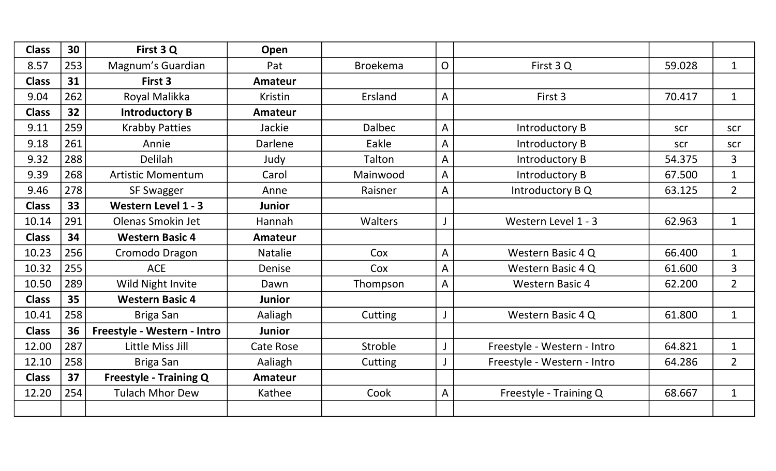| <b>Class</b> | 30  | First 3 Q                     | Open             |                 |                |                             |        |                |
|--------------|-----|-------------------------------|------------------|-----------------|----------------|-----------------------------|--------|----------------|
| 8.57         | 253 | Magnum's Guardian             | Pat              | <b>Broekema</b> | $\overline{O}$ | First 3 Q                   | 59.028 | $\mathbf{1}$   |
| <b>Class</b> | 31  | First 3                       | <b>Amateur</b>   |                 |                |                             |        |                |
| 9.04         | 262 | Royal Malikka                 | Kristin          | Ersland         | A              | First 3                     | 70.417 | $\mathbf{1}$   |
| <b>Class</b> | 32  | <b>Introductory B</b>         | <b>Amateur</b>   |                 |                |                             |        |                |
| 9.11         | 259 | <b>Krabby Patties</b>         | Jackie           | <b>Dalbec</b>   | $\overline{A}$ | Introductory B              | scr    | scr            |
| 9.18         | 261 | Annie                         | Darlene          | Eakle           | $\overline{A}$ | Introductory B              | scr    | scr            |
| 9.32         | 288 | <b>Delilah</b>                | Judy             | Talton          | A              | Introductory B              | 54.375 | 3              |
| 9.39         | 268 | <b>Artistic Momentum</b>      | Carol            | Mainwood        | A              | Introductory B              | 67.500 | $\mathbf{1}$   |
| 9.46         | 278 | <b>SF Swagger</b>             | Anne             | Raisner         | $\overline{A}$ | Introductory B Q            | 63.125 | $\overline{2}$ |
| <b>Class</b> | 33  | Western Level 1 - 3           | <b>Junior</b>    |                 |                |                             |        |                |
| 10.14        | 291 | Olenas Smokin Jet             | Hannah           | <b>Walters</b>  |                | Western Level 1 - 3         | 62.963 | $\mathbf{1}$   |
| <b>Class</b> | 34  | <b>Western Basic 4</b>        | <b>Amateur</b>   |                 |                |                             |        |                |
| 10.23        | 256 | Cromodo Dragon                | <b>Natalie</b>   | Cox             | A              | Western Basic 4 Q           | 66.400 | $\mathbf{1}$   |
| 10.32        | 255 | <b>ACE</b>                    | Denise           | Cox             | A              | Western Basic 4 Q           | 61.600 | $\overline{3}$ |
| 10.50        | 289 | Wild Night Invite             | Dawn             | Thompson        | $\overline{A}$ | <b>Western Basic 4</b>      | 62.200 | $\overline{2}$ |
| <b>Class</b> | 35  | <b>Western Basic 4</b>        | <b>Junior</b>    |                 |                |                             |        |                |
| 10.41        | 258 | Briga San                     | Aaliagh          | Cutting         |                | Western Basic 4 Q           | 61.800 | $\mathbf{1}$   |
| <b>Class</b> | 36  | Freestyle - Western - Intro   | <b>Junior</b>    |                 |                |                             |        |                |
| 12.00        | 287 | Little Miss Jill              | <b>Cate Rose</b> | Stroble         |                | Freestyle - Western - Intro | 64.821 | $\mathbf{1}$   |
| 12.10        | 258 | Briga San                     | Aaliagh          | Cutting         |                | Freestyle - Western - Intro | 64.286 | $\overline{2}$ |
| <b>Class</b> | 37  | <b>Freestyle - Training Q</b> | <b>Amateur</b>   |                 |                |                             |        |                |
| 12.20        | 254 | <b>Tulach Mhor Dew</b>        | Kathee           | Cook            | $\overline{A}$ | Freestyle - Training Q      | 68.667 | $\mathbf{1}$   |
|              |     |                               |                  |                 |                |                             |        |                |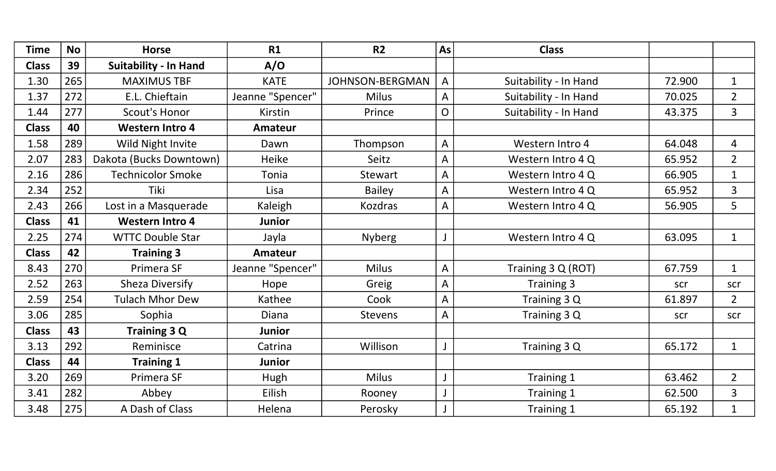| <b>Time</b>  | <b>No</b> | <b>Horse</b>                 | R1               | <b>R2</b>              | As             | <b>Class</b>          |        |                |
|--------------|-----------|------------------------------|------------------|------------------------|----------------|-----------------------|--------|----------------|
| <b>Class</b> | 39        | <b>Suitability - In Hand</b> | A/O              |                        |                |                       |        |                |
| 1.30         | 265       | <b>MAXIMUS TBF</b>           | <b>KATE</b>      | <b>JOHNSON-BERGMAN</b> | $\overline{A}$ | Suitability - In Hand | 72.900 | $\mathbf{1}$   |
| 1.37         | 272       | E.L. Chieftain               | Jeanne "Spencer" | <b>Milus</b>           | $\overline{A}$ | Suitability - In Hand | 70.025 | $\overline{2}$ |
| 1.44         | 277       | <b>Scout's Honor</b>         | Kirstin          | Prince                 | $\overline{O}$ | Suitability - In Hand | 43.375 | 3              |
| <b>Class</b> | 40        | <b>Western Intro 4</b>       | <b>Amateur</b>   |                        |                |                       |        |                |
| 1.58         | 289       | Wild Night Invite            | Dawn             | Thompson               | $\mathsf{A}$   | Western Intro 4       | 64.048 | $\overline{4}$ |
| 2.07         | 283       | Dakota (Bucks Downtown)      | <b>Heike</b>     | Seitz                  | $\overline{A}$ | Western Intro 4 Q     | 65.952 | $\overline{2}$ |
| 2.16         | 286       | <b>Technicolor Smoke</b>     | Tonia            | <b>Stewart</b>         | $\overline{A}$ | Western Intro 4 Q     | 66.905 | $\mathbf{1}$   |
| 2.34         | 252       | Tiki                         | Lisa             | <b>Bailey</b>          | $\overline{A}$ | Western Intro 4 Q     | 65.952 | $\mathbf{3}$   |
| 2.43         | 266       | Lost in a Masquerade         | Kaleigh          | <b>Kozdras</b>         | $\overline{A}$ | Western Intro 4 Q     | 56.905 | 5              |
| <b>Class</b> | 41        | <b>Western Intro 4</b>       | <b>Junior</b>    |                        |                |                       |        |                |
| 2.25         | 274       | <b>WTTC Double Star</b>      | Jayla            | <b>Nyberg</b>          | J              | Western Intro 4 Q     | 63.095 | $\mathbf{1}$   |
| <b>Class</b> | 42        | <b>Training 3</b>            | <b>Amateur</b>   |                        |                |                       |        |                |
| 8.43         | 270       | Primera SF                   | Jeanne "Spencer" | <b>Milus</b>           | $\overline{A}$ | Training 3 Q (ROT)    | 67.759 | $\mathbf{1}$   |
| 2.52         | 263       | <b>Sheza Diversify</b>       | Hope             | Greig                  | $\overline{A}$ | Training 3            | scr    | scr            |
| 2.59         | 254       | <b>Tulach Mhor Dew</b>       | Kathee           | Cook                   | $\overline{A}$ | Training 3 Q          | 61.897 | $\overline{2}$ |
| 3.06         | 285       | Sophia                       | <b>Diana</b>     | <b>Stevens</b>         | $\overline{A}$ | Training 3 Q          | scr    | scr            |
| <b>Class</b> | 43        | <b>Training 3 Q</b>          | <b>Junior</b>    |                        |                |                       |        |                |
| 3.13         | 292       | Reminisce                    | Catrina          | Willison               | J              | Training 3 Q          | 65.172 | $\mathbf{1}$   |
| <b>Class</b> | 44        | <b>Training 1</b>            | Junior           |                        |                |                       |        |                |
| 3.20         | 269       | Primera SF                   | Hugh             | <b>Milus</b>           | J              | Training 1            | 63.462 | $\overline{2}$ |
| 3.41         | 282       | Abbey                        | Eilish           | Rooney                 | $\mathsf J$    | Training 1            | 62.500 | $\overline{3}$ |
| 3.48         | 275       | A Dash of Class              | Helena           | Perosky                |                | Training 1            | 65.192 | $\mathbf{1}$   |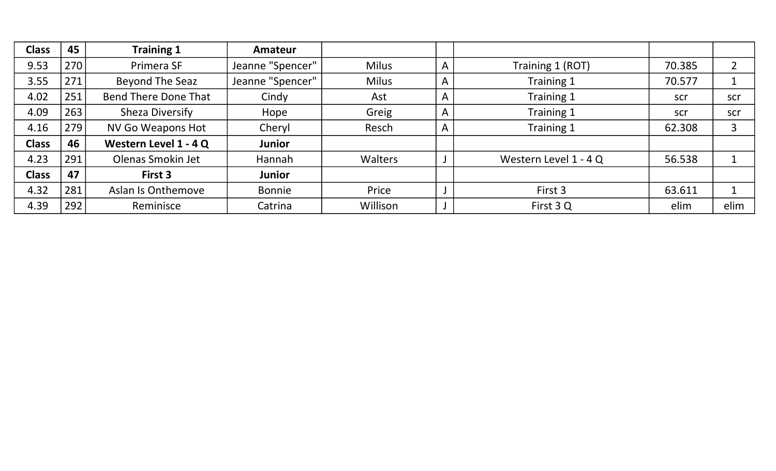| <b>Class</b> | 45  | <b>Training 1</b>           | Amateur          |                |                |                       |        |                |
|--------------|-----|-----------------------------|------------------|----------------|----------------|-----------------------|--------|----------------|
| 9.53         | 270 | Primera SF                  | Jeanne "Spencer" | <b>Milus</b>   | A              | Training 1 (ROT)      | 70.385 | $\overline{2}$ |
| 3.55         | 271 | Beyond The Seaz             | Jeanne "Spencer" | <b>Milus</b>   | A              | Training 1            | 70.577 |                |
| 4.02         | 251 | <b>Bend There Done That</b> | Cindy            | Ast            | A              | Training 1            | scr    | scr            |
| 4.09         | 263 | Sheza Diversify             | Hope             | Greig          | $\overline{A}$ | Training 1            | scr    | scr            |
| 4.16         | 279 | <b>NV Go Weapons Hot</b>    | Cheryl           | Resch          | $\mathsf{A}$   | Training 1            | 62.308 | 3              |
| <b>Class</b> | 46  | Western Level 1 - 4 Q       | <b>Junior</b>    |                |                |                       |        |                |
| 4.23         | 291 | Olenas Smokin Jet           | Hannah           | <b>Walters</b> |                | Western Level 1 - 4 Q | 56.538 |                |
| <b>Class</b> | 47  | First 3                     | <b>Junior</b>    |                |                |                       |        |                |
| 4.32         | 281 | Aslan Is Onthemove          | Bonnie           | Price          |                | First 3               | 63.611 |                |
| 4.39         | 292 | Reminisce                   | Catrina          | Willison       |                | First 3 Q             | elim   | elim           |